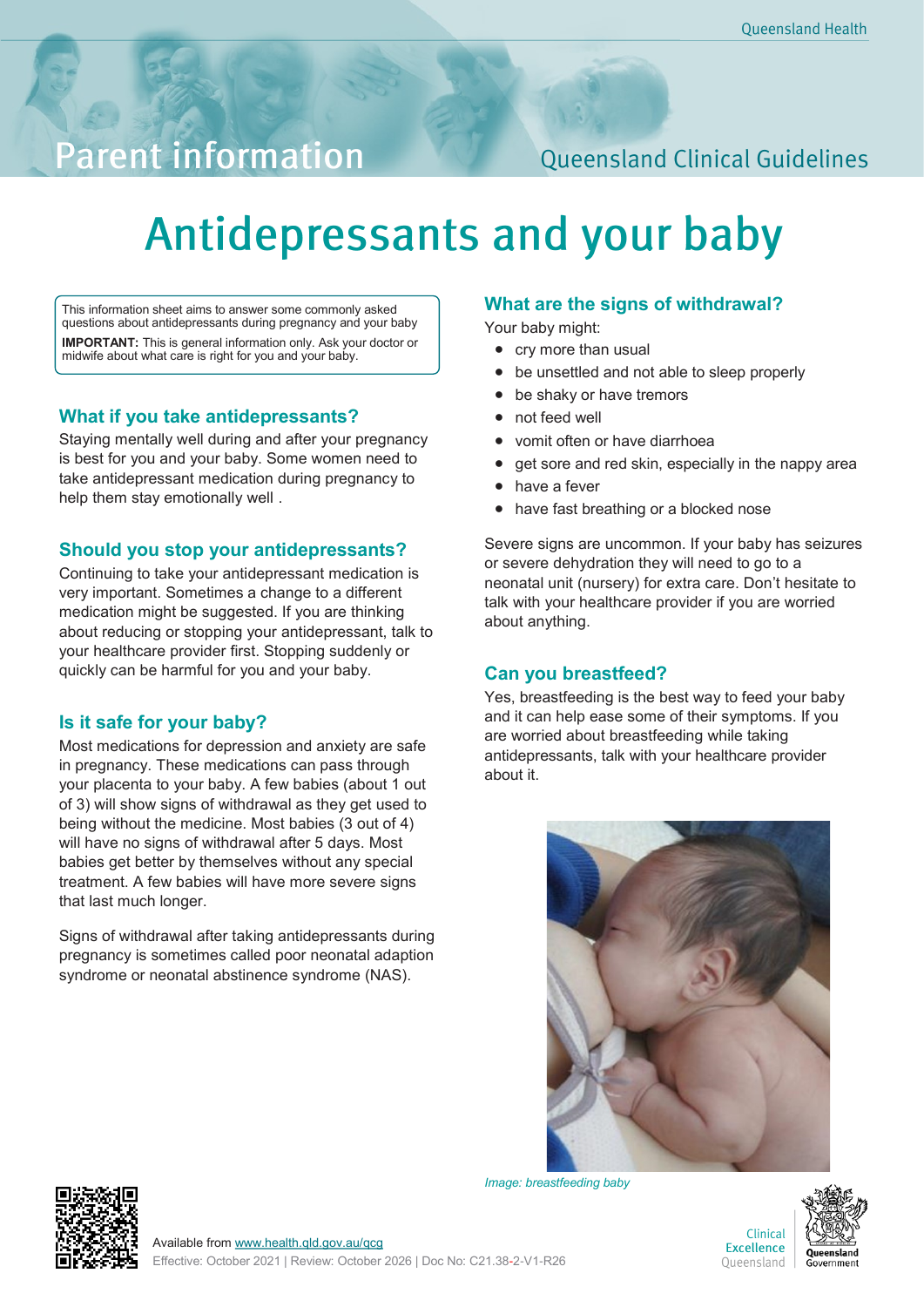## **Parent information**

### **Queensland Clinical Guidelines**

# **Antidepressants and your baby**

This information sheet aims to answer some commonly asked questions about antidepressants during pregnancy and your baby **IMPORTANT:** This is general information only. Ask your doctor or midwife about what care is right for you and your baby.

#### **What if you take antidepressants?**

Staying mentally well during and after your pregnancy is best for you and your baby. Some women need to take antidepressant medication during pregnancy to help them stay emotionally well .

#### **Should you stop your antidepressants?**

Continuing to take your antidepressant medication is very important. Sometimes a change to a different medication might be suggested. If you are thinking about reducing or stopping your antidepressant, talk to your healthcare provider first. Stopping suddenly or quickly can be harmful for you and your baby.

#### **Is it safe for your baby?**

Most medications for depression and anxiety are safe in pregnancy. These medications can pass through your placenta to your baby. A few babies (about 1 out of 3) will show signs of withdrawal as they get used to being without the medicine. Most babies (3 out of 4) will have no signs of withdrawal after 5 days. Most babies get better by themselves without any special treatment. A few babies will have more severe signs that last much longer.

Signs of withdrawal after taking antidepressants during pregnancy is sometimes called poor neonatal adaption syndrome or neonatal abstinence syndrome (NAS).

#### **What are the signs of withdrawal?**

Your baby might:

- cry more than usual
- be unsettled and not able to sleep properly
- be shaky or have tremors
- not feed well
- vomit often or have diarrhoea
- get sore and red skin, especially in the nappy area
- have a fever
- have fast breathing or a blocked nose

Severe signs are uncommon. If your baby has seizures or severe dehydration they will need to go to a neonatal unit (nursery) for extra care. Don't hesitate to talk with your healthcare provider if you are worried about anything.

#### **Can you breastfeed?**

Yes, breastfeeding is the best way to feed your baby and it can help ease some of their symptoms. If you are worried about breastfeeding while taking antidepressants, talk with your healthcare provider about it.



*Image: breastfeeding baby*